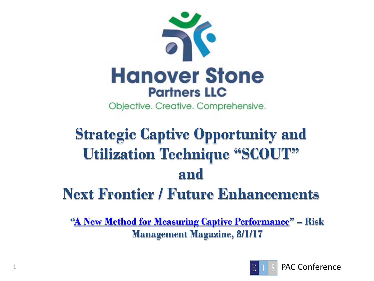

Objective. Creative. Comprehensive.

# **Strategic Captive Opportunity and Utilization Technique "SCOUT" and Next Frontier / Future Enhancements**

**["A New Method for Measuring Captive Performance"](http://www.rmmagazine.com/2017/08/01/a-new-method-for-measuring-captive-performance/) – Risk Management Magazine, 8/1/17**

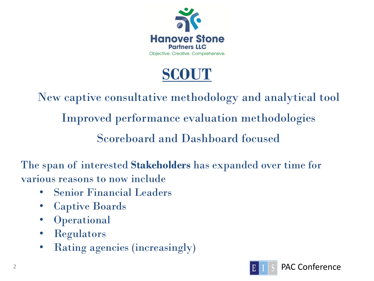

#### **SCOUT**

New captive consultative methodology and analytical tool Improved performance evaluation methodologies Scoreboard and Dashboard focused

The span of interested **Stakeholders** has expanded over time for various reasons to now include

- Senior Financial Leaders
- Captive Boards
- Operational
- Regulators
- Rating agencies (increasingly)



PAC Conference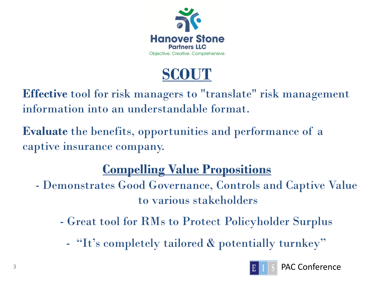

### **SCOUT**

**Effective** tool for risk managers to "translate" risk management information into an understandable format.

**Evaluate** the benefits, opportunities and performance of a captive insurance company.

#### **Compelling Value Propositions**

- Demonstrates Good Governance, Controls and Captive Value to various stakeholders
	- Great tool for RMs to Protect Policyholder Surplus
		- "It's completely tailored & potentially turnkey"



PAC Conference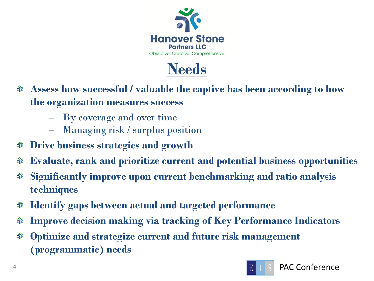



- **Assess how successful / valuable the captive has been according to how the organization measures success**
	- By coverage and over time
	- Managing risk / surplus position
- **Drive business strategies and growth**
- **Evaluate, rank and prioritize current and potential business opportunities** নঁ
- **Significantly improve upon current benchmarking and ratio analysis**  নঁ **techniques**
- **Identify gaps between actual and targeted performance** ন
- **Improve decision making via tracking of Key Performance Indicators** নঁ
- **Optimize and strategize current and future risk management**  নঁ **(programmatic) needs**

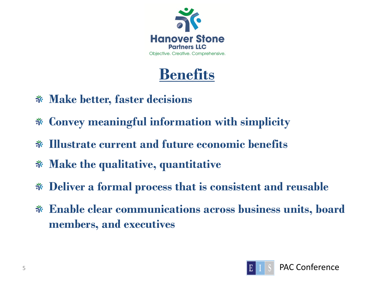

### **Benefits**

- **Make better, faster decisions**
- **Convey meaningful information with simplicity**
- **Illustrate current and future economic benefits**
- **Make the qualitative, quantitative**
- **Deliver a formal process that is consistent and reusable**
- **Enable clear communications across business units, board members, and executives**

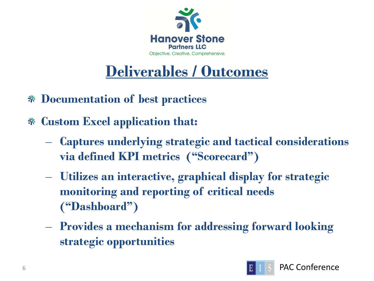

## **Deliverables / Outcomes**

- **Documentation of best practices**
- **Custom Excel application that:**
	- **Captures underlying strategic and tactical considerations via defined KPI metrics ("Scorecard")**
	- **Utilizes an interactive, graphical display for strategic monitoring and reporting of critical needs ("Dashboard")**
	- **Provides a mechanism for addressing forward looking strategic opportunities**

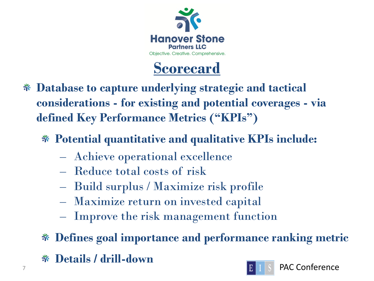

#### **Scorecard**

- **Database to capture underlying strategic and tactical considerations - for existing and potential coverages - via defined Key Performance Metrics ("KPIs")**
	- **Potential quantitative and qualitative KPIs include:**
		- Achieve operational excellence
		- Reduce total costs of risk
		- Build surplus / Maximize risk profile
		- Maximize return on invested capital
		- Improve the risk management function
	- **Defines goal importance and performance ranking metric**
- **FAC Conference Details / drill-down**

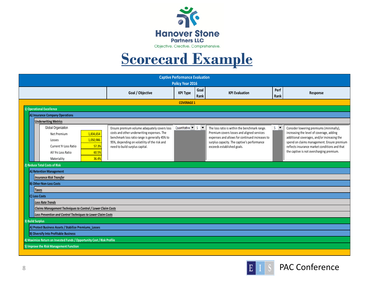

#### **Scorecard Example**

| <b>Captive Performance Evaluation</b><br>Policy Year 2016              |                                                                                              |                                                                        |  |                                                                                              |              |                                                                                           |  |  |  |
|------------------------------------------------------------------------|----------------------------------------------------------------------------------------------|------------------------------------------------------------------------|--|----------------------------------------------------------------------------------------------|--------------|-------------------------------------------------------------------------------------------|--|--|--|
|                                                                        | Goal / Objective                                                                             | Goal<br><b>KPI Type</b><br>Rank                                        |  | <b>KPI Evaluation</b>                                                                        | Perf<br>Rank | Response                                                                                  |  |  |  |
| <b>COVERAGE 1</b>                                                      |                                                                                              |                                                                        |  |                                                                                              |              |                                                                                           |  |  |  |
| 1) Operational Excellence                                              |                                                                                              |                                                                        |  |                                                                                              |              |                                                                                           |  |  |  |
| A) Insurance Company Operations                                        |                                                                                              |                                                                        |  |                                                                                              |              |                                                                                           |  |  |  |
| <b>Underwriting Metrics</b>                                            |                                                                                              |                                                                        |  |                                                                                              |              |                                                                                           |  |  |  |
| Global Organization                                                    | Ensure premium volume adaquately covers loss                                                 | Quantitative $\vert \mathbf{v} \vert \vert$ 5 $\vert \mathbf{v} \vert$ |  | The loss ratio is within the benchmark range.                                                |              | Consider lowering premiums (minimally),                                                   |  |  |  |
| 1,834,654<br>Net Premium                                               | costs and other underwriting expenses. The<br>benchmark loss ratio range is generally 45% to |                                                                        |  | Premium covers losses and aligned services<br>expenses and allows for continued increases to |              | increasing the level of coverage, adding<br>additional coverages, and/or increasing the   |  |  |  |
| 1,050,986<br>Losses                                                    | 95%, depending on volatility of the risk and                                                 |                                                                        |  | surplus capacity. The captive's performance                                                  |              | spend on claims management. Ensure premium                                                |  |  |  |
| 57.3%<br>Current Yr Loss Ratio                                         | need to build surplus capital.                                                               |                                                                        |  | exceeds established goals.                                                                   |              | reflects insurance market conditions and that<br>the captive is not overcharging premium. |  |  |  |
| All Yrs Loss Ratio<br>60.5%                                            |                                                                                              |                                                                        |  |                                                                                              |              |                                                                                           |  |  |  |
| 36.4%<br>Materiality                                                   |                                                                                              |                                                                        |  |                                                                                              |              |                                                                                           |  |  |  |
| 2) Reduce Total Costs of Risk                                          |                                                                                              |                                                                        |  |                                                                                              |              |                                                                                           |  |  |  |
| A) Retention Management<br><b>Insurance Risk Transfer</b>              |                                                                                              |                                                                        |  |                                                                                              |              |                                                                                           |  |  |  |
| <b>B) Other Non-Loss Costs</b>                                         |                                                                                              |                                                                        |  |                                                                                              |              |                                                                                           |  |  |  |
| <b>Taxes</b>                                                           |                                                                                              |                                                                        |  |                                                                                              |              |                                                                                           |  |  |  |
| C) Loss Costs                                                          |                                                                                              |                                                                        |  |                                                                                              |              |                                                                                           |  |  |  |
| <b>Loss Rate Trends</b>                                                |                                                                                              |                                                                        |  |                                                                                              |              |                                                                                           |  |  |  |
|                                                                        | Claims Management Techniques to Control / Lower Claim Costs                                  |                                                                        |  |                                                                                              |              |                                                                                           |  |  |  |
| Loss Prevention and Control Techniques to Lower Claim Costs            |                                                                                              |                                                                        |  |                                                                                              |              |                                                                                           |  |  |  |
| 3) Build Surplus                                                       |                                                                                              |                                                                        |  |                                                                                              |              |                                                                                           |  |  |  |
| A) Protect Business Assets / Stabilize Premiums Losses                 |                                                                                              |                                                                        |  |                                                                                              |              |                                                                                           |  |  |  |
| <b>B) Diversify Into Profitable Business</b>                           |                                                                                              |                                                                        |  |                                                                                              |              |                                                                                           |  |  |  |
| 4) Maximize Return on Invested Funds / Opportunity Cost / Risk Profile |                                                                                              |                                                                        |  |                                                                                              |              |                                                                                           |  |  |  |
| 5) Improve the Risk Management Function                                |                                                                                              |                                                                        |  |                                                                                              |              |                                                                                           |  |  |  |
|                                                                        |                                                                                              |                                                                        |  |                                                                                              |              |                                                                                           |  |  |  |

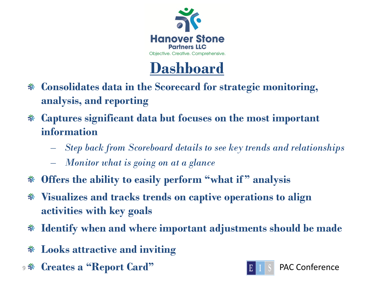



- **Consolidates data in the Scorecard for strategic monitoring, analysis, and reporting**
- **Captures significant data but focuses on the most important information**
	- *Step back from Scoreboard details to see key trends and relationships*
	- *Monitor what is going on at a glance*
- **Offers the ability to easily perform "what if " analysis**
- **Visualizes and tracks trends on captive operations to align**  নঁ **activities with key goals**
- **Identify when and where important adjustments should be made** নঁ
- **Looks attractive and inviting** নঁ
- 9 **Net Creates a "Report Card" Card Ellister Card Ellister Acconference**

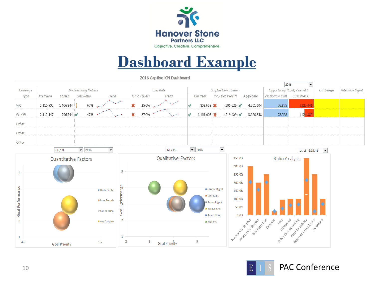

#### **Dashboard Example**

2016 Captive KPI Dashboard

|                  |                             |                               |                      |                  |                         |           |                     |                                            |                     |                             |        |                                     |                       | $\overline{\phantom{a}}$<br>2016                                    |                          |                       |
|------------------|-----------------------------|-------------------------------|----------------------|------------------|-------------------------|-----------|---------------------|--------------------------------------------|---------------------|-----------------------------|--------|-------------------------------------|-----------------------|---------------------------------------------------------------------|--------------------------|-----------------------|
| Coverage         |                             | <b>Underwriting Metrics</b>   |                      |                  |                         | Loss Rate |                     |                                            |                     | <b>Surplus Contribution</b> |        |                                     |                       | Opportunity (Cost) / Benefit                                        | <b>Tax Benefit</b>       | <b>Retention Mamt</b> |
| Type             | Premium<br>Losses           | Loss Ratio                    | Trend                |                  | % Inc / (Dec)           |           | Trend               | Cur Year                                   |                     | Inc / Dec Prev Yr           |        | Aggregate                           | 2% Borrow Cost        | 10% WACC                                                            |                          |                       |
| WC               | 2,110,502<br>1,406,844      | 67%                           |                      |                  | 25.0%                   |           |                     | 803,658                                    |                     | (205, 629)                  |        | 4,501,604                           | 76,875                | (325, 441)                                                          |                          |                       |
| $GL$ / $PL$      | 2,112,547<br>996,544        | 47%<br>$\sqrt{ }$             |                      |                  | 27.0%                   |           |                     | $1,161,003$ X                              |                     | (519, 409)                  |        | 3,620,358                           | 78,598                | (12)                                                                |                          |                       |
| Other            |                             |                               |                      |                  |                         |           |                     |                                            |                     |                             |        |                                     |                       |                                                                     |                          |                       |
| Other            |                             |                               |                      |                  |                         |           |                     |                                            |                     |                             |        |                                     |                       |                                                                     |                          |                       |
| Other            |                             |                               |                      |                  |                         |           |                     |                                            |                     |                             |        |                                     |                       |                                                                     |                          |                       |
|                  | GL / PL                     | $\overline{\phantom{0}}$ 2016 | $\blacktriangledown$ |                  |                         |           | GL / PL             | $\overline{\phantom{0}}$ 2016              |                     | $\blacktriangledown$        |        |                                     |                       | as of 12/31/16                                                      | $\overline{\phantom{a}}$ |                       |
|                  | <b>Quantitative Factors</b> |                               |                      |                  |                         |           | Qualitative Factors |                                            |                     |                             | 350.0% |                                     | <b>Ratio Analysis</b> |                                                                     |                          |                       |
|                  |                             |                               |                      |                  |                         |           |                     |                                            |                     |                             | 300.0% |                                     |                       |                                                                     |                          |                       |
| 5                |                             |                               |                      | 5                |                         |           |                     |                                            |                     |                             | 250.0% |                                     |                       |                                                                     |                          |                       |
|                  |                             |                               |                      |                  |                         |           |                     |                                            |                     |                             | 200.0% |                                     |                       |                                                                     |                          |                       |
|                  |                             |                               | <b>O</b> Underwrite  |                  |                         |           |                     | <b>O</b> Claims Mgmt<br><b>O</b> Loss Cont |                     |                             | 150.0% |                                     |                       |                                                                     |                          |                       |
| Goal Parformance |                             |                               | <b>O</b> Loss Trends | Goal Performange |                         |           |                     |                                            | Reten Mgmt          |                             | 100.0% |                                     |                       |                                                                     |                          |                       |
|                  |                             |                               | Cur Yr Surp          |                  |                         |           |                     |                                            | <b>O</b> RM Control |                             | 50.0%  |                                     |                       |                                                                     |                          |                       |
|                  |                             |                               |                      |                  |                         |           |                     | <b>O</b> Emer Risks                        |                     |                             | 0.0%   |                                     |                       |                                                                     |                          |                       |
| $\overline{2}$   |                             |                               | · Agg Surplus        |                  |                         |           |                     | <b>O</b> Risk Svs                          |                     |                             |        |                                     | Etpense               |                                                                     | Operatine                |                       |
|                  |                             |                               |                      |                  |                         |           |                     |                                            |                     | Premium to Surplus          |        | Reserve to Surgus<br>Risk Retention |                       | Policy year Operating<br>Regards to Vanseless<br>Asset to Liability |                          |                       |
| 1<br>4.5         |                             |                               | 5.5                  | 2                | $\overline{\mathbf{3}}$ |           |                     | 5                                          |                     |                             |        |                                     |                       |                                                                     |                          |                       |
|                  | <b>Goal Priority</b>        |                               |                      |                  |                         |           | Goal Priority       |                                            |                     |                             |        |                                     |                       |                                                                     |                          |                       |



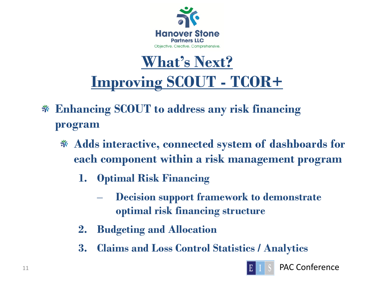

#### **What's Next? Improving SCOUT - TCOR+**

- **Enhancing SCOUT to address any risk financing program**
	- **Adds interactive, connected system of dashboards for each component within a risk management program**
		- **1. Optimal Risk Financing**
			- **Decision support framework to demonstrate optimal risk financing structure**
		- **2. Budgeting and Allocation**
		- **3. Claims and Loss Control Statistics / Analytics**



11 **PAC Conference**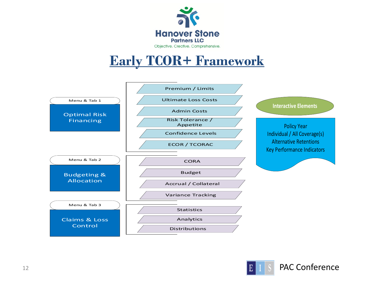

#### **Early TCOR+ Framework**





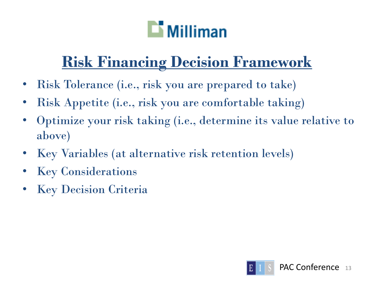# $\Box$  Milliman

# **Risk Financing Decision Framework**

- Risk Tolerance (i.e., risk you are prepared to take)
- Risk Appetite (i.e., risk you are comfortable taking)
- Optimize your risk taking (i.e., determine its value relative to above)
- Key Variables (at alternative risk retention levels)
- **Key Considerations**
- **Key Decision Criteria**

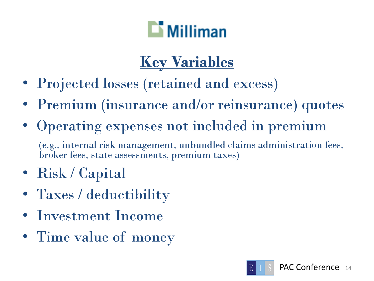

# **Key Variables**

- Projected losses (retained and excess)
- Premium (insurance and/or reinsurance) quotes
- Operating expenses not included in premium (e.g., internal risk management, unbundled claims administration fees, broker fees, state assessments, premium taxes)
- Risk / Capital
- Taxes / deductibility
- Investment Income
- Time value of money

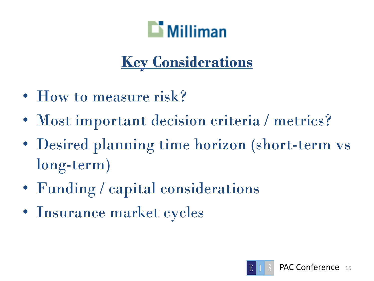

## **Key Considerations**

- How to measure risk?
- Most important decision criteria / metrics?
- Desired planning time horizon (short-term vs long-term)
- Funding / capital considerations
- Insurance market cycles

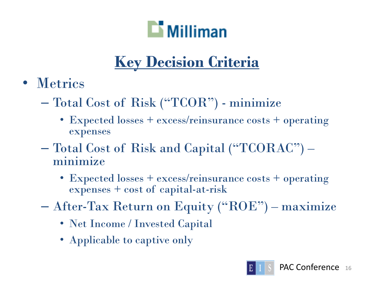

# **Key Decision Criteria**

- Metrics
	- Total Cost of Risk ("TCOR") minimize
		- Expected losses + excess/reinsurance costs + operating expenses
	- Total Cost of Risk and Capital ("TCORAC") minimize
		- Expected losses + excess/reinsurance costs + operating expenses + cost of capital-at-risk
	- After-Tax Return on Equity ("ROE") maximize
		- Net Income / Invested Capital
		- Applicable to captive only

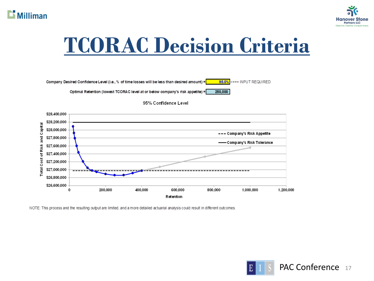



# **TCORAC Decision Criteria**







NOTE: This process and the resulting output are limited, and a more detailed actuarial analysis could result in different outcomes.

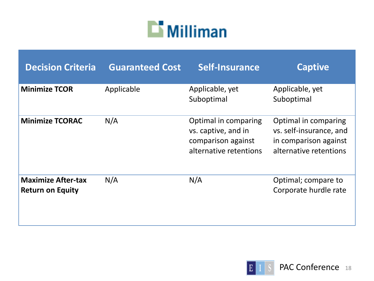

| <b>Decision Criteria</b>                             | <b>Guaranteed Cost</b> | Self-Insurance                                                                              | <b>Captive</b>                                                                                     |
|------------------------------------------------------|------------------------|---------------------------------------------------------------------------------------------|----------------------------------------------------------------------------------------------------|
| <b>Minimize TCOR</b>                                 | Applicable             | Applicable, yet<br>Suboptimal                                                               | Applicable, yet<br>Suboptimal                                                                      |
| <b>Minimize TCORAC</b>                               | N/A                    | Optimal in comparing<br>vs. captive, and in<br>comparison against<br>alternative retentions | Optimal in comparing<br>vs. self-insurance, and<br>in comparison against<br>alternative retentions |
| <b>Maximize After-tax</b><br><b>Return on Equity</b> | N/A                    | N/A                                                                                         | Optimal; compare to<br>Corporate hurdle rate                                                       |

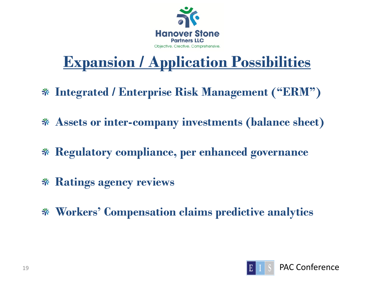

## **Expansion / Application Possibilities**

- **Integrated / Enterprise Risk Management ("ERM")**
- **Assets or inter-company investments (balance sheet)**
- **Regulatory compliance, per enhanced governance**
- **Ratings agency reviews**
- **Workers' Compensation claims predictive analytics**